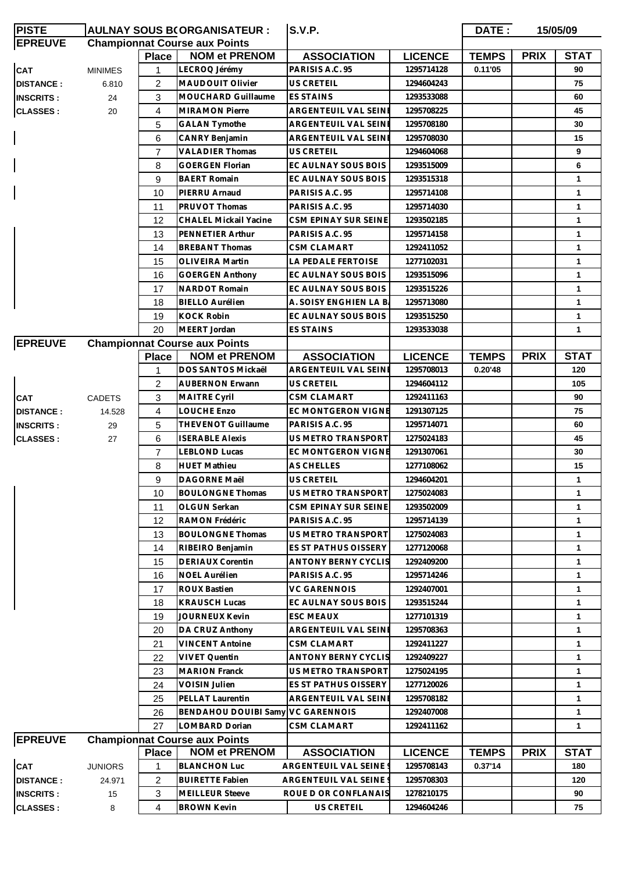| <b>PISTE</b>     | <b>AULNAY SOUS B(ORGANISATEUR:</b>   |                |                                      | <b>S.V.P.</b>              |                | DATE:<br>15/05/09 |             |              |
|------------------|--------------------------------------|----------------|--------------------------------------|----------------------------|----------------|-------------------|-------------|--------------|
| <b>EPREUVE</b>   | <b>Championnat Course aux Points</b> |                |                                      |                            |                |                   |             |              |
|                  |                                      | <b>Place</b>   | <b>NOM et PRENOM</b>                 | <b>ASSOCIATION</b>         | <b>LICENCE</b> | <b>TEMPS</b>      | <b>PRIX</b> | <b>STAT</b>  |
| CAT              | <b>MINIMES</b>                       | 1              | LECROQ Jérémy                        | PARISIS A.C. 95            | 1295714128     | 0.11'05           |             | 90           |
| <b>DISTANCE:</b> | 6.810                                | 2              | MAUDOUIT Olivier                     | <b>US CRETEIL</b>          | 1294604243     |                   |             | 75           |
| <b>INSCRITS:</b> | 24                                   | 3              | MOUCHARD Guillaume                   | ES STAINS                  | 1293533088     |                   |             | 60           |
| <b>CLASSES:</b>  | 20                                   | 4              | <b>MIRAMON Pierre</b>                | ARGENTEUIL VAL SEINE       | 1295708225     |                   |             | 45           |
|                  |                                      | 5              | <b>GALAN Tymothe</b>                 | ARGENTEUIL VAL SEINE       | 1295708180     |                   |             | 30           |
|                  |                                      | 6              | <b>CANRY Benjamin</b>                | ARGENTEUIL VAL SEINE       | 1295708030     |                   |             | 15           |
|                  |                                      | $\overline{7}$ | <b>VALADIER Thomas</b>               | <b>US CRETEIL</b>          | 1294604068     |                   |             | 9            |
|                  |                                      | 8              | <b>GOERGEN Florian</b>               | EC AULNAY SOUS BOIS        | 1293515009     |                   |             | 6            |
|                  |                                      | 9              | <b>BAERT Romain</b>                  | EC AULNAY SOUS BOIS        | 1293515318     |                   |             | 1            |
|                  |                                      | 10             | PIERRU Arnaud                        | PARISIS A.C. 95            | 1295714108     |                   |             | $\mathbf{1}$ |
|                  |                                      | 11             | PRUVOT Thomas                        | PARISIS A.C. 95            | 1295714030     |                   |             | $\mathbf{1}$ |
|                  |                                      | 12             | <b>CHALEL Mickail Yacine</b>         | CSM EPINAY SUR SEINE       | 1293502185     |                   |             | $\mathbf 1$  |
|                  |                                      | 13             | PENNETIER Arthur                     | PARISIS A.C. 95            | 1295714158     |                   |             | 1            |
|                  |                                      | 14             | <b>BREBANT Thomas</b>                | CSM CLAMART                | 1292411052     |                   |             | 1            |
|                  |                                      | 15             | <b>OLIVEIRA Martin</b>               | LA PEDALE FERTOISE         | 1277102031     |                   |             | 1            |
|                  |                                      | 16             | <b>GOERGEN Anthony</b>               | EC AULNAY SOUS BOIS        | 1293515096     |                   |             | $\mathbf 1$  |
|                  |                                      | 17             | <b>NARDOT Romain</b>                 | EC AULNAY SOUS BOIS        | 1293515226     |                   |             | $\mathbf 1$  |
|                  |                                      | 18             | <b>BIELLO Aurélien</b>               | A. SOISY ENGHIEN LA B.     | 1295713080     |                   |             | 1            |
|                  |                                      | 19             | <b>KOCK Robin</b>                    | EC AULNAY SOUS BOIS        | 1293515250     |                   |             | 1            |
|                  |                                      | 20             | MEERT Jordan                         | <b>ES STAINS</b>           | 1293533038     |                   |             | $\mathbf{1}$ |
| <b>EPREUVE</b>   |                                      |                | <b>Championnat Course aux Points</b> |                            |                |                   |             |              |
|                  |                                      | <b>Place</b>   | <b>NOM et PRENOM</b>                 | <b>ASSOCIATION</b>         | <b>LICENCE</b> | <b>TEMPS</b>      | <b>PRIX</b> | <b>STAT</b>  |
|                  |                                      | 1              | DOS SANTOS Mickaël                   | ARGENTEUIL VAL SEINE       | 1295708013     | 0.20'48           |             | 120          |
|                  |                                      | 2              | <b>AUBERNON Erwann</b>               | US CRETEIL                 | 1294604112     |                   |             | 105          |
| <b>CAT</b>       | <b>CADETS</b>                        | 3              | <b>MAITRE Cyril</b>                  | CSM CLAMART                | 1292411163     |                   |             | 90           |
| <b>DISTANCE:</b> | 14.528                               | 4              | LOUCHE Enzo                          | <b>EC MONTGERON VIGNE</b>  | 1291307125     |                   |             | 75           |
| <b>INSCRITS:</b> | 29                                   | 5              | THEVENOT Guillaume                   | PARISIS A.C. 95            | 1295714071     |                   |             | 60           |
| <b>CLASSES:</b>  | 27                                   | 6              | <b>ISERABLE Alexis</b>               | US METRO TRANSPORT         | 1275024183     |                   |             | 45           |
|                  |                                      | $\overline{7}$ | <b>LEBLOND Lucas</b>                 | EC MONTGERON VIGNE         | 1291307061     |                   |             | 30           |
|                  |                                      | 8              | <b>HUET Mathieu</b>                  | AS CHELLES                 | 1277108062     |                   |             | 15           |
|                  |                                      | 9              | <b>DAGORNE Maël</b>                  | <b>US CRETEIL</b>          | 1294604201     |                   |             | $\mathbf{1}$ |
|                  |                                      | 10             | <b>BOULONGNE Thomas</b>              | US METRO TRANSPORT         | 1275024083     |                   |             | 1            |
|                  |                                      | 11             | OLGUN Serkan                         | CSM EPINAY SUR SEINE       | 1293502009     |                   |             | 1.           |
|                  |                                      | 12             | RAMON Frédéric                       | PARISIS A.C. 95            | 1295714139     |                   |             | 1            |
|                  |                                      | 13             | <b>BOULONGNE Thomas</b>              | <b>US METRO TRANSPORT</b>  | 1275024083     |                   |             | $\mathbf 1$  |
|                  |                                      | 14             | RIBEIRO Benjamin                     | ES ST PATHUS OISSERY       | 1277120068     |                   |             | $\mathbf 1$  |
|                  |                                      | 15             | <b>DERIAUX Corentin</b>              | ANTONY BERNY CYCLIS        | 1292409200     |                   |             | $\mathbf 1$  |
|                  |                                      | 16             | <b>NOEL Aurélien</b>                 | PARISIS A.C. 95            | 1295714246     |                   |             | 1            |
|                  |                                      | 17             | <b>ROUX Bastien</b>                  | <b>VC GARENNOIS</b>        | 1292407001     |                   |             | $\mathbf 1$  |
|                  |                                      | 18             | <b>KRAUSCH Lucas</b>                 | EC AULNAY SOUS BOIS        | 1293515244     |                   |             | $\mathbf 1$  |
|                  |                                      | 19             | <b>JOURNEUX Kevin</b>                | <b>ESC MEAUX</b>           | 1277101319     |                   |             | 1            |
|                  |                                      | 20             | DA CRUZ Anthony                      | ARGENTEUIL VAL SEINE       | 1295708363     |                   |             | $\mathbf 1$  |
|                  |                                      | 21             | <b>VINCENT Antoine</b>               | <b>CSM CLAMART</b>         | 1292411227     |                   |             | 1            |
|                  |                                      | 22             | <b>VIVET Quentin</b>                 | <b>ANTONY BERNY CYCLIS</b> | 1292409227     |                   |             | $\mathbf 1$  |
|                  |                                      | 23             | <b>MARION Franck</b>                 | US METRO TRANSPORT         | 1275024195     |                   |             | $\mathbf 1$  |
|                  |                                      | 24             | <b>VOISIN Julien</b>                 | ES ST PATHUS OISSERY       | 1277120026     |                   |             | $\mathbf 1$  |
|                  |                                      | 25             | <b>PELLAT Laurentin</b>              | ARGENTEUIL VAL SEINE       | 1295708182     |                   |             | 1            |
|                  |                                      | 26             | BENDAHOU DOUIBI Samy VC GARENNOIS    |                            | 1292407008     |                   |             | 1            |
|                  |                                      | 27             | LOMBARD Dorian                       | <b>CSM CLAMART</b>         | 1292411162     |                   |             | $\mathbf 1$  |
| <b>EPREUVE</b>   |                                      |                | <b>Championnat Course aux Points</b> |                            |                |                   |             |              |
|                  |                                      | <b>Place</b>   | <b>NOM et PRENOM</b>                 | <b>ASSOCIATION</b>         | <b>LICENCE</b> | <b>TEMPS</b>      | <b>PRIX</b> | <b>STAT</b>  |
| <b>CAT</b>       | <b>JUNIORS</b>                       | 1              | <b>BLANCHON Luc</b>                  | ARGENTEUIL VAL SEINE 9     | 1295708143     | 0.37'14           |             | 180          |
| <b>DISTANCE:</b> | 24.971                               | 2              | <b>BUIRETTE Fabien</b>               | ARGENTEUIL VAL SEINE 9     | 1295708303     |                   |             | 120          |
| <b>INSCRITS:</b> | 15                                   | 3              | <b>MEILLEUR Steeve</b>               | ROUE D OR CONFLANAIS       | 1278210175     |                   |             | 90           |
| <b>CLASSES:</b>  | 8                                    | 4              | <b>BROWN Kevin</b>                   | US CRETEIL                 | 1294604246     |                   |             | 75           |